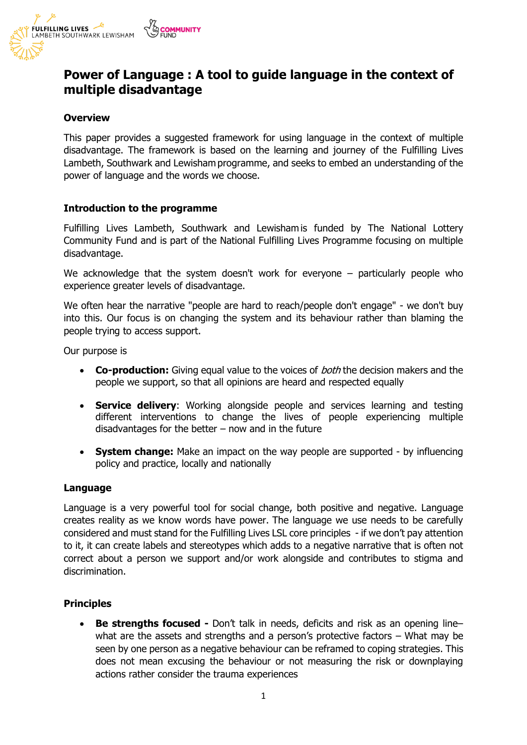

# **Power of Language : A tool to guide language in the context of multiple disadvantage**

#### **Overview**

This paper provides a suggested framework for using language in the context of multiple disadvantage. The framework is based on the learning and journey of the Fulfilling Lives Lambeth, Southwark and Lewisham programme, and seeks to embed an understanding of the power of language and the words we choose.

#### **Introduction to the programme**

Fulfilling Lives Lambeth, Southwark and Lewisham is funded by The National Lottery Community Fund and is part of the National Fulfilling Lives Programme focusing on multiple disadvantage.

We acknowledge that the system doesn't work for everyone – particularly people who experience greater levels of disadvantage.

We often hear the narrative "people are hard to reach/people don't engage" - we don't buy into this. Our focus is on changing the system and its behaviour rather than blaming the people trying to access support.

Our purpose is

- **Co-production:** Giving equal value to the voices of *both* the decision makers and the people we support, so that all opinions are heard and respected equally
- **Service delivery**: Working alongside people and services learning and testing different interventions to change the lives of people experiencing multiple disadvantages for the better  $-$  now and in the future
- **System change:** Make an impact on the way people are supported by influencing policy and practice, locally and nationally

#### **Language**

Language is a very powerful tool for social change, both positive and negative. Language creates reality as we know words have power. The language we use needs to be carefully considered and must stand for the Fulfilling Lives LSL core principles - if we don't pay attention to it, it can create labels and stereotypes which adds to a negative narrative that is often not correct about a person we support and/or work alongside and contributes to stigma and discrimination.

#### **Principles**

• **Be strengths focused -** Don't talk in needs, deficits and risk as an opening line– what are the assets and strengths and a person's protective factors – What may be seen by one person as a negative behaviour can be reframed to coping strategies. This does not mean excusing the behaviour or not measuring the risk or downplaying actions rather consider the trauma experiences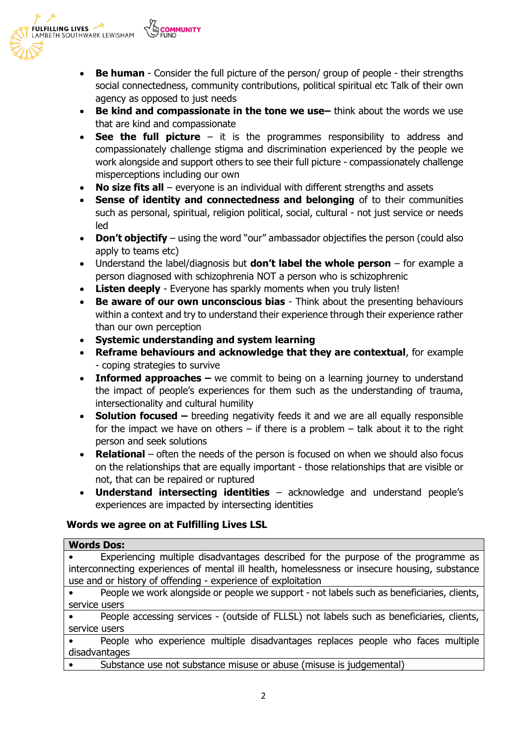

- **Be human** Consider the full picture of the person/ group of people their strengths social connectedness, community contributions, political spiritual etc Talk of their own agency as opposed to just needs
- **Be kind and compassionate in the tone we use-** think about the words we use that are kind and compassionate
- **See the full picture** it is the programmes responsibility to address and compassionately challenge stigma and discrimination experienced by the people we work alongside and support others to see their full picture - compassionately challenge misperceptions including our own
- **No size fits all** everyone is an individual with different strengths and assets
- **Sense of identity and connectedness and belonging** of to their communities such as personal, spiritual, religion political, social, cultural - not just service or needs led
- **Don't objectify** using the word "our" ambassador objectifies the person (could also apply to teams etc)
- Understand the label/diagnosis but **don't label the whole person** for example a person diagnosed with schizophrenia NOT a person who is schizophrenic
- **Listen deeply** Everyone has sparkly moments when you truly listen!
- **Be aware of our own unconscious bias** Think about the presenting behaviours within a context and try to understand their experience through their experience rather than our own perception
- **Systemic understanding and system learning**
- **Reframe behaviours and acknowledge that they are contextual**, for example - coping strategies to survive
- **Informed approaches** we commit to being on a learning journey to understand the impact of people's experiences for them such as the understanding of trauma, intersectionality and cultural humility
- **Solution focused –** breeding negativity feeds it and we are all equally responsible for the impact we have on others  $-$  if there is a problem  $-$  talk about it to the right person and seek solutions
- **Relational** often the needs of the person is focused on when we should also focus on the relationships that are equally important - those relationships that are visible or not, that can be repaired or ruptured
- **Understand intersecting identities** acknowledge and understand people's experiences are impacted by intersecting identities

# **Words we agree on at Fulfilling Lives LSL**

## **Words Dos:**

• Experiencing multiple disadvantages described for the purpose of the programme as interconnecting experiences of mental ill health, homelessness or insecure housing, substance use and or history of offending - experience of exploitation

• People we work alongside or people we support - not labels such as beneficiaries, clients, service users

• People accessing services - (outside of FLLSL) not labels such as beneficiaries, clients, service users

• People who experience multiple disadvantages replaces people who faces multiple disadvantages

Substance use not substance misuse or abuse (misuse is judgemental)